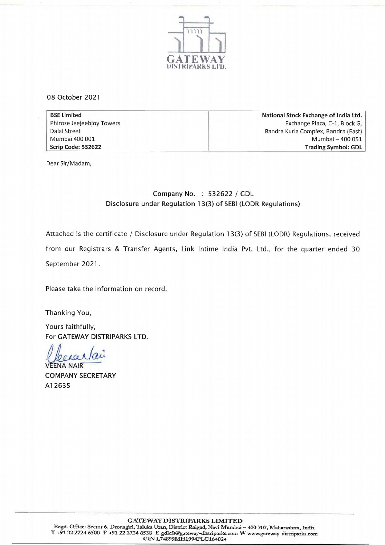

08 October 2021

| <b>BSE Limited</b>        | National Stock Exchange of India Ltd. |  |
|---------------------------|---------------------------------------|--|
| Phiroze Jeejeebjoy Towers | Exchange Plaza, C-1, Block G,         |  |
| Dalal Street              | Bandra Kurla Complex, Bandra (East)   |  |
| Mumbai 400 001            | Mumbai - 400 051                      |  |
| Scrip Code: 532622        | <b>Trading Symbol: GDL</b>            |  |

Dear Sir/Madam,

## Company No. : 532622 / GDL Disclosure under Regulation 13(3) of SEBI (LODR Regulations)

Attached is the certificate / Disclosure under Regulation 13(3) of SEBI (LODR) Regulations, received from our Registrars & Transfer Agents, Link Intime India Pvt. Ltd., for the quarter ended 30 September 2021.

Please take the information on record.

Thanking You,

Yours faithfully, For GATEWAY DISTRIPARKS LTD.

 $Q$  *e ROL 10* 

COMPANY SECRETARY A12635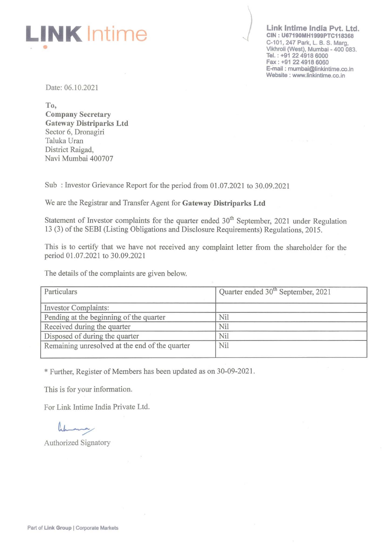

Link Intime India Pvt. Ltd. CIN : U67190MH1999PTC118368 C·101, 247 Park, L. B. S. Marg, Vikhroll (West), Mumbai - 400 083. Tel.: +91 22 4918 6000 Fax: +91 22 4918 6060 E-mail: mumbai@linkintime.co.in Website: www.linkintime.co.in

Date: 06.10.2021

To, Company Secretary Gateway Distriparks Ltd Sector 6, Dronagiri Taluka Uran District Raigad, Navi Mumbai 400707

Sub: Investor Grievance Report for the period from 01.07.2021 to 30.09.2021

We are the Registrar and Transfer Agent for Gateway Distriparks Ltd

Statement of Investor complaints for the quarter ended  $30<sup>th</sup>$  September, 2021 under Regulation 13 (3) of the SEBI (Listing Obligations and Disclosure Requirements) Regulations, 2015.

This is to certify that we have not received any complaint letter from the shareholder for the period 01.07.2021 to 30.09.2021

The details of the complaints are given below.

| Particulars                                    | Quarter ended 30 <sup>th</sup> September, 2021 |  |
|------------------------------------------------|------------------------------------------------|--|
| <b>Investor Complaints:</b>                    |                                                |  |
| Pending at the beginning of the quarter        | Nil                                            |  |
| Received during the quarter                    | Nil                                            |  |
| Disposed of during the quarter                 | Nil                                            |  |
| Remaining unresolved at the end of the quarter | Nil                                            |  |

\* Further, Register of Members has been updated as on 30-09-2021.

This is for your information.

For Link Intime India Private Ltd.

Authorized Signatory